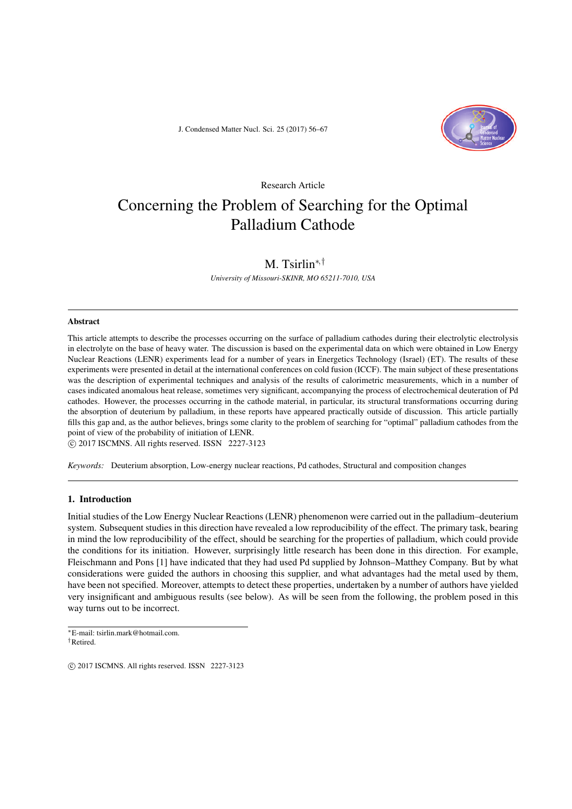J. Condensed Matter Nucl. Sci. 25 (2017) 56–67



Research Article

# Concerning the Problem of Searching for the Optimal Palladium Cathode

# M. Tsirlin*∗,†*

*University of Missouri-SKINR, MO 65211-7010, USA*

#### Abstract

This article attempts to describe the processes occurring on the surface of palladium cathodes during their electrolytic electrolysis in electrolyte on the base of heavy water. The discussion is based on the experimental data on which were obtained in Low Energy Nuclear Reactions (LENR) experiments lead for a number of years in Energetics Technology (Israel) (ET). The results of these experiments were presented in detail at the international conferences on cold fusion (ICCF). The main subject of these presentations was the description of experimental techniques and analysis of the results of calorimetric measurements, which in a number of cases indicated anomalous heat release, sometimes very significant, accompanying the process of electrochemical deuteration of Pd cathodes. However, the processes occurring in the cathode material, in particular, its structural transformations occurring during the absorption of deuterium by palladium, in these reports have appeared practically outside of discussion. This article partially fills this gap and, as the author believes, brings some clarity to the problem of searching for "optimal" palladium cathodes from the point of view of the probability of initiation of LENR.

*⃝*c 2017 ISCMNS. All rights reserved. ISSN 2227-3123

*Keywords:* Deuterium absorption, Low-energy nuclear reactions, Pd cathodes, Structural and composition changes

# 1. Introduction

Initial studies of the Low Energy Nuclear Reactions (LENR) phenomenon were carried out in the palladium–deuterium system. Subsequent studies in this direction have revealed a low reproducibility of the effect. The primary task, bearing in mind the low reproducibility of the effect, should be searching for the properties of palladium, which could provide the conditions for its initiation. However, surprisingly little research has been done in this direction. For example, Fleischmann and Pons [1] have indicated that they had used Pd supplied by Johnson–Matthey Company. But by what considerations were guided the authors in choosing this supplier, and what advantages had the metal used by them, have been not specified. Moreover, attempts to detect these properties, undertaken by a number of authors have yielded very insignificant and ambiguous results (see below). As will be seen from the following, the problem posed in this way turns out to be incorrect.

*<sup>∗</sup>*E-mail: tsirlin.mark@hotmail.com. *†*Retired.

 $\circ$  2017 ISCMNS. All rights reserved. ISSN 2227-3123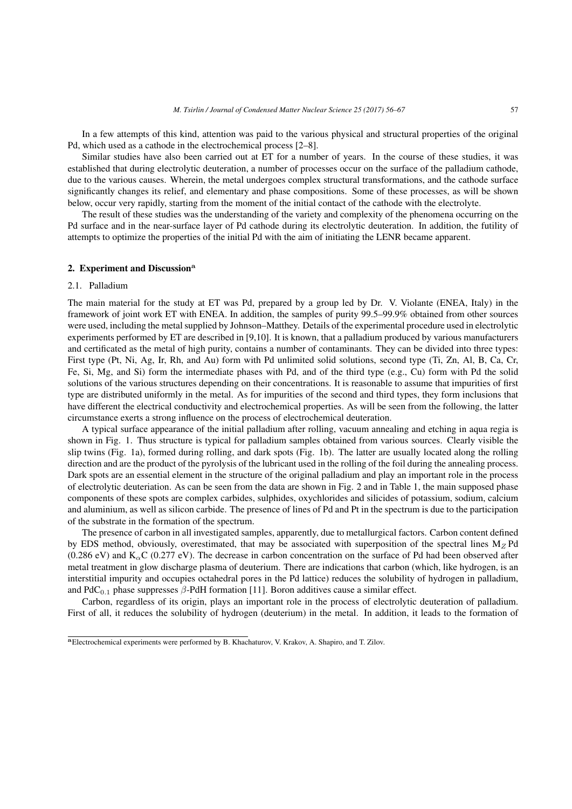In a few attempts of this kind, attention was paid to the various physical and structural properties of the original Pd, which used as a cathode in the electrochemical process [2–8].

Similar studies have also been carried out at ET for a number of years. In the course of these studies, it was established that during electrolytic deuteration, a number of processes occur on the surface of the palladium cathode, due to the various causes. Wherein, the metal undergoes complex structural transformations, and the cathode surface significantly changes its relief, and elementary and phase compositions. Some of these processes, as will be shown below, occur very rapidly, starting from the moment of the initial contact of the cathode with the electrolyte.

The result of these studies was the understanding of the variety and complexity of the phenomena occurring on the Pd surface and in the near-surface layer of Pd cathode during its electrolytic deuteration. In addition, the futility of attempts to optimize the properties of the initial Pd with the aim of initiating the LENR became apparent.

#### 2. Experiment and Discussion**<sup>a</sup>**

#### 2.1. Palladium

The main material for the study at ET was Pd, prepared by a group led by Dr. V. Violante (ENEA, Italy) in the framework of joint work ET with ENEA. In addition, the samples of purity 99.5–99.9% obtained from other sources were used, including the metal supplied by Johnson–Matthey. Details of the experimental procedure used in electrolytic experiments performed by ET are described in [9,10]. It is known, that a palladium produced by various manufacturers and certificated as the metal of high purity, contains a number of contaminants. They can be divided into three types: First type (Pt, Ni, Ag, Ir, Rh, and Au) form with Pd unlimited solid solutions, second type (Ti, Zn, Al, B, Ca, Cr, Fe, Si, Mg, and Si) form the intermediate phases with Pd, and of the third type (e.g., Cu) form with Pd the solid solutions of the various structures depending on their concentrations. It is reasonable to assume that impurities of first type are distributed uniformly in the metal. As for impurities of the second and third types, they form inclusions that have different the electrical conductivity and electrochemical properties. As will be seen from the following, the latter circumstance exerts a strong influence on the process of electrochemical deuteration.

A typical surface appearance of the initial palladium after rolling, vacuum annealing and etching in aqua regia is shown in Fig. 1. Thus structure is typical for palladium samples obtained from various sources. Clearly visible the slip twins (Fig. 1a), formed during rolling, and dark spots (Fig. 1b). The latter are usually located along the rolling direction and are the product of the pyrolysis of the lubricant used in the rolling of the foil during the annealing process. Dark spots are an essential element in the structure of the original palladium and play an important role in the process of electrolytic deuteriation. As can be seen from the data are shown in Fig. 2 and in Table 1, the main supposed phase components of these spots are complex carbides, sulphides, oxychlorides and silicides of potassium, sodium, calcium and aluminium, as well as silicon carbide. The presence of lines of Pd and Pt in the spectrum is due to the participation of the substrate in the formation of the spectrum.

The presence of carbon in all investigated samples, apparently, due to metallurgical factors. Carbon content defined by EDS method, obviously, overestimated, that may be associated with superposition of the spectral lines  $M_Z$  Pd (0.286 eV) and K*α*C (0.277 eV). The decrease in carbon concentration on the surface of Pd had been observed after metal treatment in glow discharge plasma of deuterium. There are indications that carbon (which, like hydrogen, is an interstitial impurity and occupies octahedral pores in the Pd lattice) reduces the solubility of hydrogen in palladium, and PdC0*.*<sup>1</sup> phase suppresses *β*-PdH formation [11]. Boron additives cause a similar effect.

Carbon, regardless of its origin, plays an important role in the process of electrolytic deuteration of palladium. First of all, it reduces the solubility of hydrogen (deuterium) in the metal. In addition, it leads to the formation of

**<sup>a</sup>**Electrochemical experiments were performed by B. Khachaturov, V. Krakov, A. Shapiro, and T. Zilov.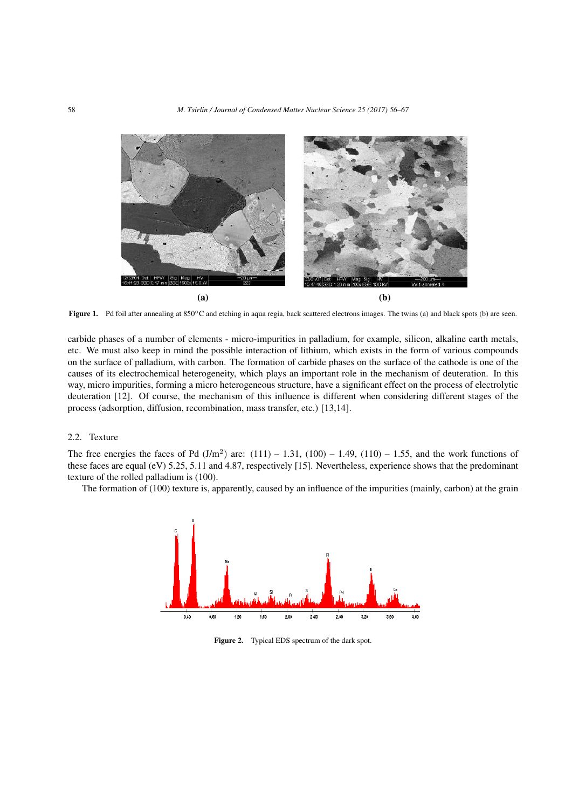

Figure 1. Pd foil after annealing at 850*◦*C and etching in aqua regia, back scattered electrons images. The twins (a) and black spots (b) are seen.

carbide phases of a number of elements - micro-impurities in palladium, for example, silicon, alkaline earth metals, etc. We must also keep in mind the possible interaction of lithium, which exists in the form of various compounds on the surface of palladium, with carbon. The formation of carbide phases on the surface of the cathode is one of the causes of its electrochemical heterogeneity, which plays an important role in the mechanism of deuteration. In this way, micro impurities, forming a micro heterogeneous structure, have a significant effect on the process of electrolytic deuteration [12]. Of course, the mechanism of this influence is different when considering different stages of the process (adsorption, diffusion, recombination, mass transfer, etc.) [13,14].

## 2.2. Texture

The free energies the faces of Pd  $(J/m^2)$  are:  $(111) - 1.31$ ,  $(100) - 1.49$ ,  $(110) - 1.55$ , and the work functions of these faces are equal (eV) 5.25, 5.11 and 4.87, respectively [15]. Nevertheless, experience shows that the predominant texture of the rolled palladium is (100).

The formation of (100) texture is, apparently, caused by an influence of the impurities (mainly, carbon) at the grain



Figure 2. Typical EDS spectrum of the dark spot.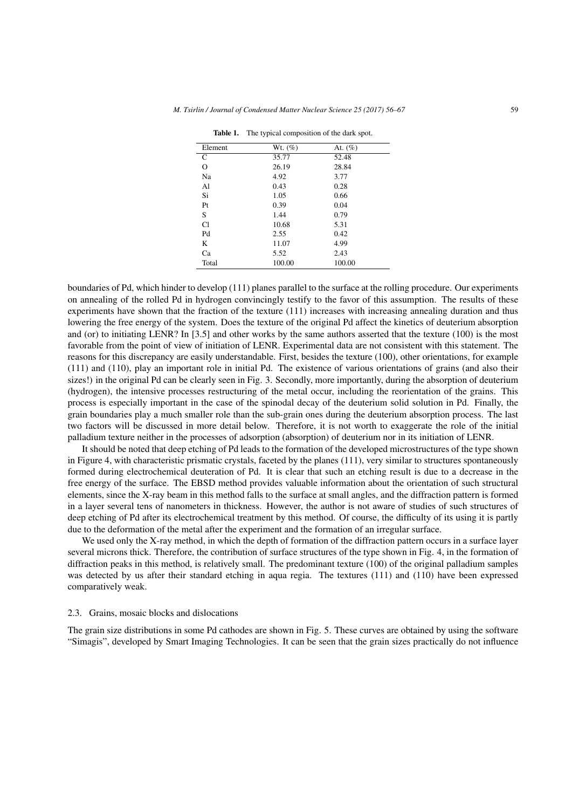| Element  | Wt. $(\%)$ | At. $(\%)$ |
|----------|------------|------------|
| C        | 35.77      | 52.48      |
| $\Omega$ | 26.19      | 28.84      |
| Na       | 4.92       | 3.77       |
| Al       | 0.43       | 0.28       |
| Si       | 1.05       | 0.66       |
| Pt       | 0.39       | 0.04       |
| S        | 1.44       | 0.79       |
| C1       | 10.68      | 5.31       |
| Pd       | 2.55       | 0.42       |
| K        | 11.07      | 4.99       |
| Ca       | 5.52       | 2.43       |
| Total    | 100.00     | 100.00     |

Table 1. The typical composition of the dark spot.

boundaries of Pd, which hinder to develop (111) planes parallel to the surface at the rolling procedure. Our experiments on annealing of the rolled Pd in hydrogen convincingly testify to the favor of this assumption. The results of these experiments have shown that the fraction of the texture (111) increases with increasing annealing duration and thus lowering the free energy of the system. Does the texture of the original Pd affect the kinetics of deuterium absorption and (or) to initiating LENR? In [3.5] and other works by the same authors asserted that the texture (100) is the most favorable from the point of view of initiation of LENR. Experimental data are not consistent with this statement. The reasons for this discrepancy are easily understandable. First, besides the texture (100), other orientations, for example (111) and (110), play an important role in initial Pd. The existence of various orientations of grains (and also their sizes!) in the original Pd can be clearly seen in Fig. 3. Secondly, more importantly, during the absorption of deuterium (hydrogen), the intensive processes restructuring of the metal occur, including the reorientation of the grains. This process is especially important in the case of the spinodal decay of the deuterium solid solution in Pd. Finally, the grain boundaries play a much smaller role than the sub-grain ones during the deuterium absorption process. The last two factors will be discussed in more detail below. Therefore, it is not worth to exaggerate the role of the initial palladium texture neither in the processes of adsorption (absorption) of deuterium nor in its initiation of LENR.

It should be noted that deep etching of Pd leads to the formation of the developed microstructures of the type shown in Figure 4, with characteristic prismatic crystals, faceted by the planes (111), very similar to structures spontaneously formed during electrochemical deuteration of Pd. It is clear that such an etching result is due to a decrease in the free energy of the surface. The EBSD method provides valuable information about the orientation of such structural elements, since the X-ray beam in this method falls to the surface at small angles, and the diffraction pattern is formed in a layer several tens of nanometers in thickness. However, the author is not aware of studies of such structures of deep etching of Pd after its electrochemical treatment by this method. Of course, the difficulty of its using it is partly due to the deformation of the metal after the experiment and the formation of an irregular surface.

We used only the X-ray method, in which the depth of formation of the diffraction pattern occurs in a surface layer several microns thick. Therefore, the contribution of surface structures of the type shown in Fig. 4, in the formation of diffraction peaks in this method, is relatively small. The predominant texture (100) of the original palladium samples was detected by us after their standard etching in aqua regia. The textures (111) and (110) have been expressed comparatively weak.

#### 2.3. Grains, mosaic blocks and dislocations

The grain size distributions in some Pd cathodes are shown in Fig. 5. These curves are obtained by using the software "Simagis", developed by Smart Imaging Technologies. It can be seen that the grain sizes practically do not influence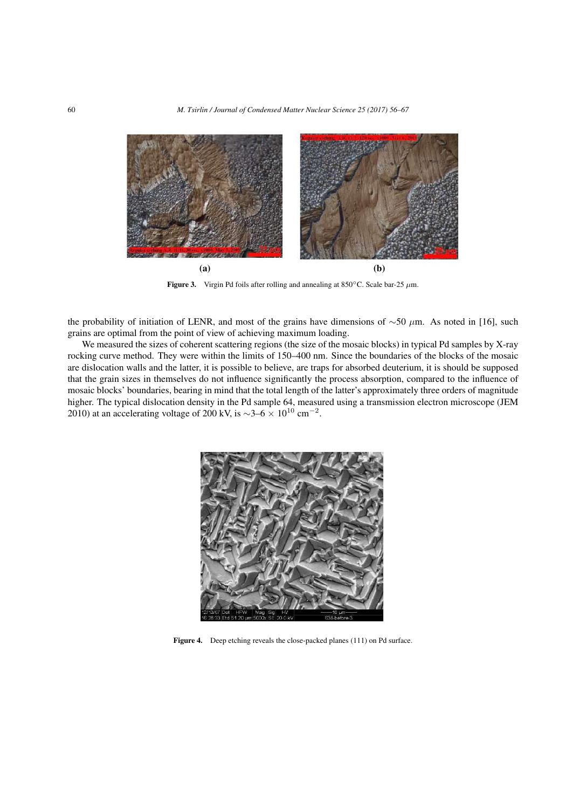

Figure 3. Virgin Pd foils after rolling and annealing at 850*◦*C. Scale bar-25 *µ*m.

the probability of initiation of LENR, and most of the grains have dimensions of *∼*50 *µ*m. As noted in [16], such grains are optimal from the point of view of achieving maximum loading.

We measured the sizes of coherent scattering regions (the size of the mosaic blocks) in typical Pd samples by X-ray rocking curve method. They were within the limits of 150–400 nm. Since the boundaries of the blocks of the mosaic are dislocation walls and the latter, it is possible to believe, are traps for absorbed deuterium, it is should be supposed that the grain sizes in themselves do not influence significantly the process absorption, compared to the influence of mosaic blocks' boundaries, bearing in mind that the total length of the latter's approximately three orders of magnitude higher. The typical dislocation density in the Pd sample 64, measured using a transmission electron microscope (JEM 2010) at an accelerating voltage of 200 kV, is  $\sim$ 3–6 × 10<sup>10</sup> cm<sup>−2</sup>.



Figure 4. Deep etching reveals the close-packed planes (111) on Pd surface.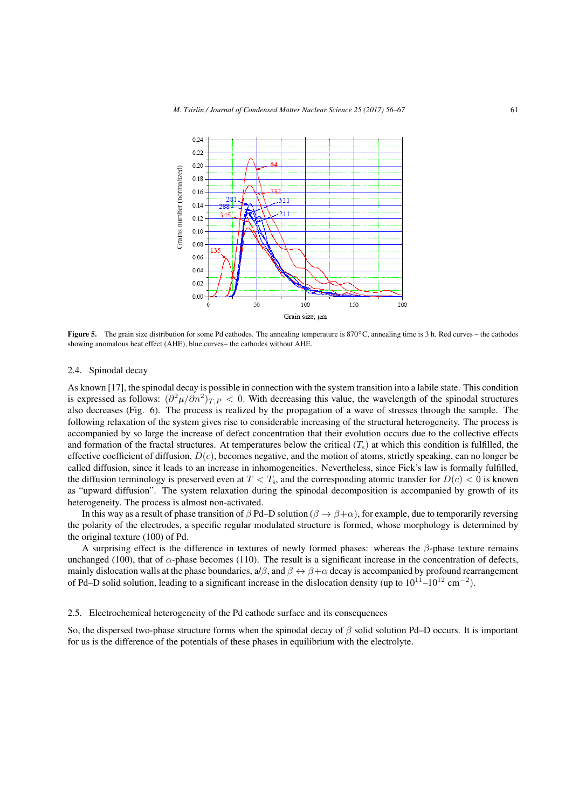

Figure 5. The grain size distribution for some Pd cathodes. The annealing temperature is 870*◦*C, annealing time is 3 h. Red curves – the cathodes showing anomalous heat effect (AHE), blue curves– the cathodes without AHE.

# 2.4. Spinodal decay

As known [17], the spinodal decay is possible in connection with the system transition into a labile state. This condition is expressed as follows:  $(\partial^2 \mu/\partial n^2)_{T,P}$  < 0. With decreasing this value, the wavelength of the spinodal structures also decreases (Fig. 6). The process is realized by the propagation of a wave of stresses through the sample. The following relaxation of the system gives rise to considerable increasing of the structural heterogeneity. The process is accompanied by so large the increase of defect concentration that their evolution occurs due to the collective effects and formation of the fractal structures. At temperatures below the critical  $(T<sub>s</sub>)$  at which this condition is fulfilled, the effective coefficient of diffusion, *D*(*c*), becomes negative, and the motion of atoms, strictly speaking, can no longer be called diffusion, since it leads to an increase in inhomogeneities. Nevertheless, since Fick's law is formally fulfilled, the diffusion terminology is preserved even at  $T < T_s$ , and the corresponding atomic transfer for  $D(c) < 0$  is known as "upward diffusion". The system relaxation during the spinodal decomposition is accompanied by growth of its heterogeneity. The process is almost non-activated.

In this way as a result of phase transition of  $\beta$  Pd–D solution ( $\beta \rightarrow \beta + \alpha$ ), for example, due to temporarily reversing the polarity of the electrodes, a specific regular modulated structure is formed, whose morphology is determined by the original texture (100) of Pd.

A surprising effect is the difference in textures of newly formed phases: whereas the *β*-phase texture remains unchanged (100), that of  $\alpha$ -phase becomes (110). The result is a significant increase in the concentration of defects, mainly dislocation walls at the phase boundaries,  $a/\beta$ , and  $\beta \leftrightarrow \beta + \alpha$  decay is accompanied by profound rearrangement of Pd–D solid solution, leading to a significant increase in the dislocation density (up to 10<sup>11</sup>–10<sup>12</sup> cm*−*<sup>2</sup> ).

#### 2.5. Electrochemical heterogeneity of the Pd cathode surface and its consequences

So, the dispersed two-phase structure forms when the spinodal decay of *β* solid solution Pd–D occurs. It is important for us is the difference of the potentials of these phases in equilibrium with the electrolyte.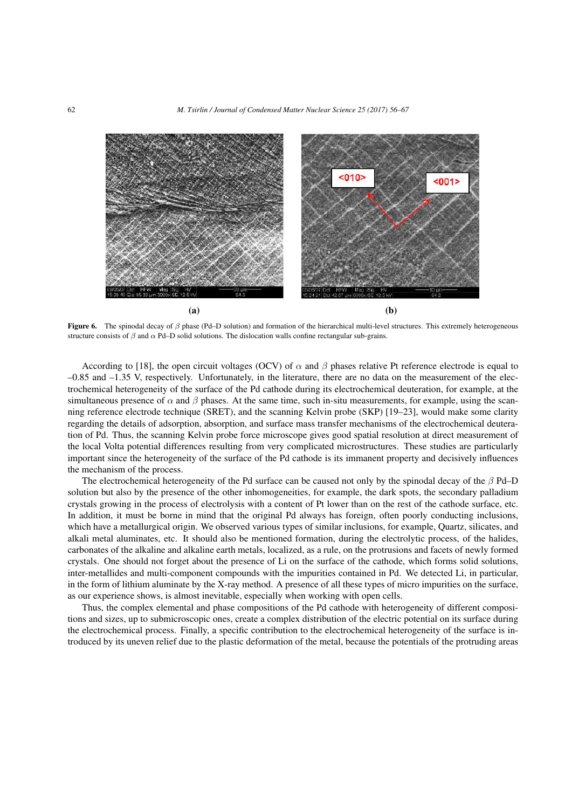

Figure 6. The spinodal decay of *β* phase (Pd–D solution) and formation of the hierarchical multi-level structures. This extremely heterogeneous structure consists of *β* and *α* Pd–D solid solutions. The dislocation walls confine rectangular sub-grains.

According to [18], the open circuit voltages (OCV) of  $\alpha$  and  $\beta$  phases relative Pt reference electrode is equal to –0.85 and –1.35 V, respectively. Unfortunately, in the literature, there are no data on the measurement of the electrochemical heterogeneity of the surface of the Pd cathode during its electrochemical deuteration, for example, at the simultaneous presence of  $\alpha$  and  $\beta$  phases. At the same time, such in-situ measurements, for example, using the scanning reference electrode technique (SRET), and the scanning Kelvin probe (SKP) [19–23], would make some clarity regarding the details of adsorption, absorption, and surface mass transfer mechanisms of the electrochemical deuteration of Pd. Thus, the scanning Kelvin probe force microscope gives good spatial resolution at direct measurement of the local Volta potential differences resulting from very complicated microstructures. These studies are particularly important since the heterogeneity of the surface of the Pd cathode is its immanent property and decisively influences the mechanism of the process.

The electrochemical heterogeneity of the Pd surface can be caused not only by the spinodal decay of the *β* Pd–D solution but also by the presence of the other inhomogeneities, for example, the dark spots, the secondary palladium crystals growing in the process of electrolysis with a content of Pt lower than on the rest of the cathode surface, etc. In addition, it must be borne in mind that the original Pd always has foreign, often poorly conducting inclusions, which have a metallurgical origin. We observed various types of similar inclusions, for example, Quartz, silicates, and alkali metal aluminates, etc. It should also be mentioned formation, during the electrolytic process, of the halides, carbonates of the alkaline and alkaline earth metals, localized, as a rule, on the protrusions and facets of newly formed crystals. One should not forget about the presence of Li on the surface of the cathode, which forms solid solutions, inter-metallides and multi-component compounds with the impurities contained in Pd. We detected Li, in particular, in the form of lithium aluminate by the X-ray method. A presence of all these types of micro impurities on the surface, as our experience shows, is almost inevitable, especially when working with open cells.

Thus, the complex elemental and phase compositions of the Pd cathode with heterogeneity of different compositions and sizes, up to submicroscopic ones, create a complex distribution of the electric potential on its surface during the electrochemical process. Finally, a specific contribution to the electrochemical heterogeneity of the surface is introduced by its uneven relief due to the plastic deformation of the metal, because the potentials of the protruding areas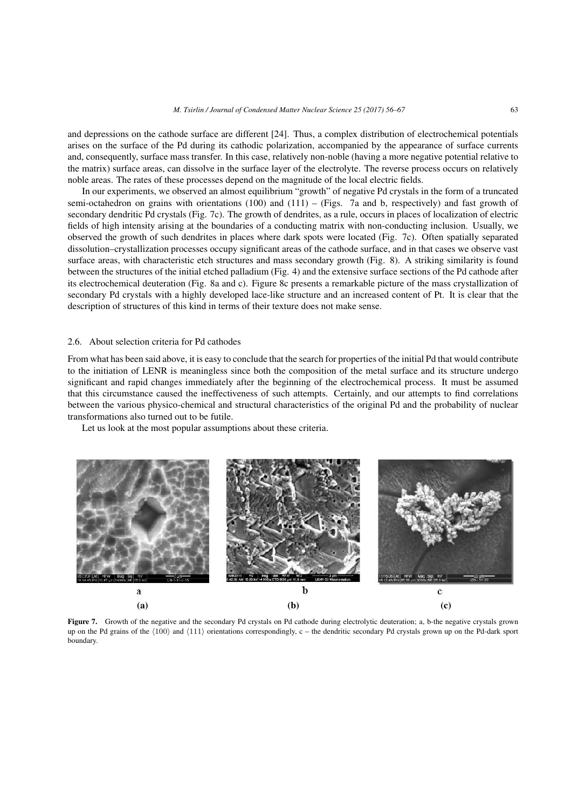and depressions on the cathode surface are different [24]. Thus, a complex distribution of electrochemical potentials arises on the surface of the Pd during its cathodic polarization, accompanied by the appearance of surface currents and, consequently, surface mass transfer. In this case, relatively non-noble (having a more negative potential relative to the matrix) surface areas, can dissolve in the surface layer of the electrolyte. The reverse process occurs on relatively noble areas. The rates of these processes depend on the magnitude of the local electric fields.

In our experiments, we observed an almost equilibrium "growth" of negative Pd crystals in the form of a truncated semi-octahedron on grains with orientations (100) and (111) – (Figs. 7a and b, respectively) and fast growth of secondary dendritic Pd crystals (Fig. 7c). The growth of dendrites, as a rule, occurs in places of localization of electric fields of high intensity arising at the boundaries of a conducting matrix with non-conducting inclusion. Usually, we observed the growth of such dendrites in places where dark spots were located (Fig. 7c). Often spatially separated dissolution–crystallization processes occupy significant areas of the cathode surface, and in that cases we observe vast surface areas, with characteristic etch structures and mass secondary growth (Fig. 8). A striking similarity is found between the structures of the initial etched palladium (Fig. 4) and the extensive surface sections of the Pd cathode after its electrochemical deuteration (Fig. 8a and c). Figure 8c presents a remarkable picture of the mass crystallization of secondary Pd crystals with a highly developed lace-like structure and an increased content of Pt. It is clear that the description of structures of this kind in terms of their texture does not make sense.

#### 2.6. About selection criteria for Pd cathodes

From what has been said above, it is easy to conclude that the search for properties of the initial Pd that would contribute to the initiation of LENR is meaningless since both the composition of the metal surface and its structure undergo significant and rapid changes immediately after the beginning of the electrochemical process. It must be assumed that this circumstance caused the ineffectiveness of such attempts. Certainly, and our attempts to find correlations between the various physico-chemical and structural characteristics of the original Pd and the probability of nuclear transformations also turned out to be futile.

Let us look at the most popular assumptions about these criteria.



Figure 7. Growth of the negative and the secondary Pd crystals on Pd cathode during electrolytic deuteration; a, b-the negative crystals grown up on the Pd grains of the *⟨*100*⟩* and *⟨*111*⟩* orientations correspondingly, c – the dendritic secondary Pd crystals grown up on the Pd-dark sport boundary.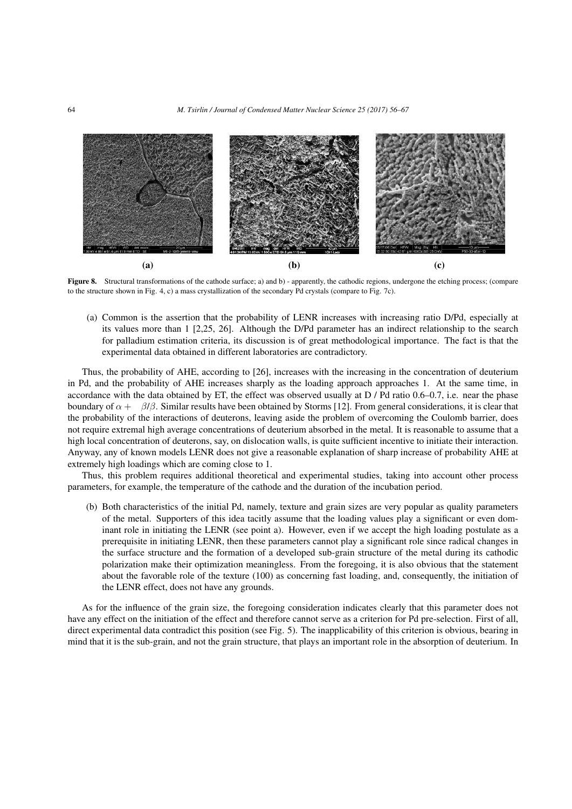

Figure 8. Structural transformations of the cathode surface; a) and b) - apparently, the cathodic regions, undergone the etching process; (compare to the structure shown in Fig. 4, c) a mass crystallization of the secondary Pd crystals (compare to Fig. 7c).

(a) Common is the assertion that the probability of LENR increases with increasing ratio D/Pd, especially at its values more than 1 [2,25, 26]. Although the D/Pd parameter has an indirect relationship to the search for palladium estimation criteria, its discussion is of great methodological importance. The fact is that the experimental data obtained in different laboratories are contradictory.

Thus, the probability of AHE, according to [26], increases with the increasing in the concentration of deuterium in Pd, and the probability of AHE increases sharply as the loading approach approaches 1. At the same time, in accordance with the data obtained by ET, the effect was observed usually at  $D / Pd$  ratio 0.6–0.7, i.e. near the phase boundary of  $\alpha + \beta/\beta$ . Similar results have been obtained by Storms [12]. From general considerations, it is clear that the probability of the interactions of deuterons, leaving aside the problem of overcoming the Coulomb barrier, does not require extremal high average concentrations of deuterium absorbed in the metal. It is reasonable to assume that a high local concentration of deuterons, say, on dislocation walls, is quite sufficient incentive to initiate their interaction. Anyway, any of known models LENR does not give a reasonable explanation of sharp increase of probability AHE at extremely high loadings which are coming close to 1.

Thus, this problem requires additional theoretical and experimental studies, taking into account other process parameters, for example, the temperature of the cathode and the duration of the incubation period.

(b) Both characteristics of the initial Pd, namely, texture and grain sizes are very popular as quality parameters of the metal. Supporters of this idea tacitly assume that the loading values play a significant or even dominant role in initiating the LENR (see point a). However, even if we accept the high loading postulate as a prerequisite in initiating LENR, then these parameters cannot play a significant role since radical changes in the surface structure and the formation of a developed sub-grain structure of the metal during its cathodic polarization make their optimization meaningless. From the foregoing, it is also obvious that the statement about the favorable role of the texture (100) as concerning fast loading, and, consequently, the initiation of the LENR effect, does not have any grounds.

As for the influence of the grain size, the foregoing consideration indicates clearly that this parameter does not have any effect on the initiation of the effect and therefore cannot serve as a criterion for Pd pre-selection. First of all, direct experimental data contradict this position (see Fig. 5). The inapplicability of this criterion is obvious, bearing in mind that it is the sub-grain, and not the grain structure, that plays an important role in the absorption of deuterium. In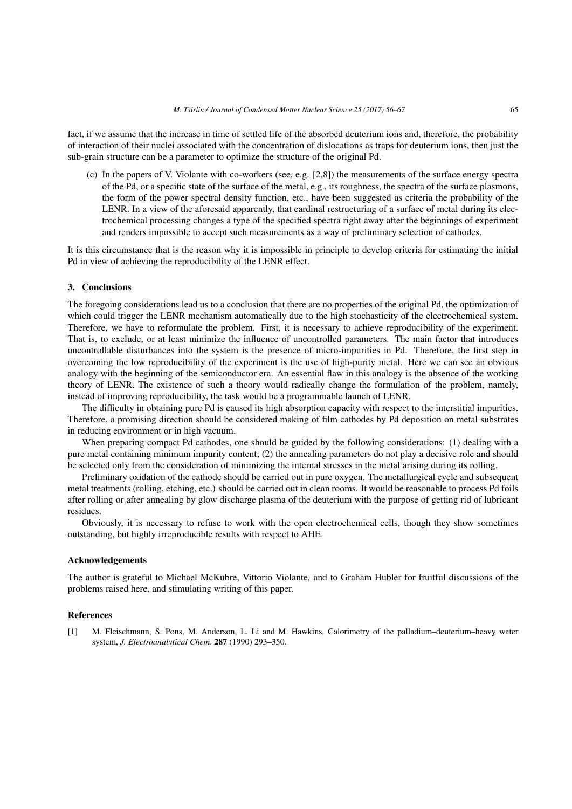fact, if we assume that the increase in time of settled life of the absorbed deuterium ions and, therefore, the probability of interaction of their nuclei associated with the concentration of dislocations as traps for deuterium ions, then just the sub-grain structure can be a parameter to optimize the structure of the original Pd.

(c) In the papers of V. Violante with co-workers (see, e.g. [2,8]) the measurements of the surface energy spectra of the Pd, or a specific state of the surface of the metal, e.g., its roughness, the spectra of the surface plasmons, the form of the power spectral density function, etc., have been suggested as criteria the probability of the LENR. In a view of the aforesaid apparently, that cardinal restructuring of a surface of metal during its electrochemical processing changes a type of the specified spectra right away after the beginnings of experiment and renders impossible to accept such measurements as a way of preliminary selection of cathodes.

It is this circumstance that is the reason why it is impossible in principle to develop criteria for estimating the initial Pd in view of achieving the reproducibility of the LENR effect.

#### 3. Conclusions

The foregoing considerations lead us to a conclusion that there are no properties of the original Pd, the optimization of which could trigger the LENR mechanism automatically due to the high stochasticity of the electrochemical system. Therefore, we have to reformulate the problem. First, it is necessary to achieve reproducibility of the experiment. That is, to exclude, or at least minimize the influence of uncontrolled parameters. The main factor that introduces uncontrollable disturbances into the system is the presence of micro-impurities in Pd. Therefore, the first step in overcoming the low reproducibility of the experiment is the use of high-purity metal. Here we can see an obvious analogy with the beginning of the semiconductor era. An essential flaw in this analogy is the absence of the working theory of LENR. The existence of such a theory would radically change the formulation of the problem, namely, instead of improving reproducibility, the task would be a programmable launch of LENR.

The difficulty in obtaining pure Pd is caused its high absorption capacity with respect to the interstitial impurities. Therefore, a promising direction should be considered making of film cathodes by Pd deposition on metal substrates in reducing environment or in high vacuum.

When preparing compact Pd cathodes, one should be guided by the following considerations: (1) dealing with a pure metal containing minimum impurity content; (2) the annealing parameters do not play a decisive role and should be selected only from the consideration of minimizing the internal stresses in the metal arising during its rolling.

Preliminary oxidation of the cathode should be carried out in pure oxygen. The metallurgical cycle and subsequent metal treatments (rolling, etching, etc.) should be carried out in clean rooms. It would be reasonable to process Pd foils after rolling or after annealing by glow discharge plasma of the deuterium with the purpose of getting rid of lubricant residues.

Obviously, it is necessary to refuse to work with the open electrochemical cells, though they show sometimes outstanding, but highly irreproducible results with respect to AHE.

#### Acknowledgements

The author is grateful to Michael McKubre, Vittorio Violante, and to Graham Hubler for fruitful discussions of the problems raised here, and stimulating writing of this paper.

### References

[1] M. Fleischmann, S. Pons, M. Anderson, L. Li and M. Hawkins, Calorimetry of the palladium–deuterium–heavy water system, *J. Electroanalytical Chem*. 287 (1990) 293–350.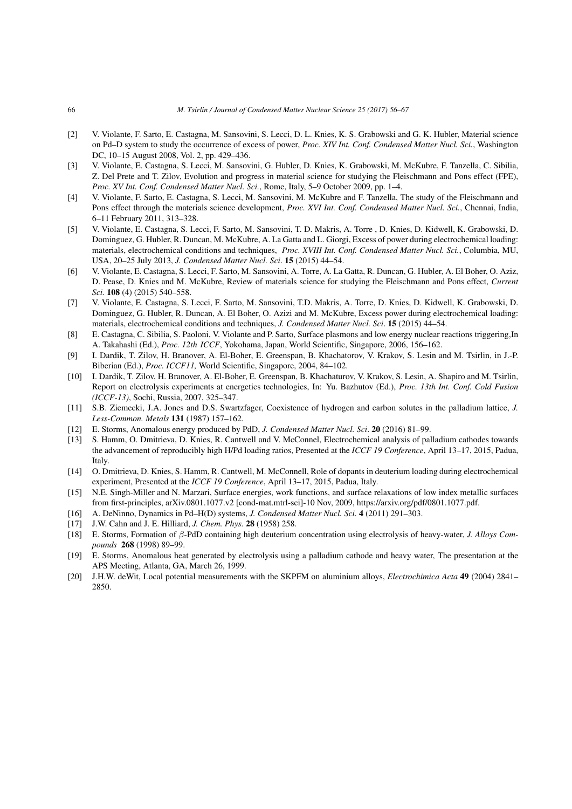- [2] V. Violante, F. Sarto, E. Castagna, M. Sansovini, S. Lecci, D. L. Knies, K. S. Grabowski and G. K. Hubler, Material science on Pd–D system to study the occurrence of excess of power, *Proc. XIV Int. Conf. Condensed Matter Nucl. Sci.*, Washington DC, 10–15 August 2008, Vol. 2, pp. 429–436.
- [3] V. Violante, E. Castagna, S. Lecci, M. Sansovini, G. Hubler, D. Knies, K. Grabowski, M. McKubre, F. Tanzella, C. Sibilia, Z. Del Prete and T. Zilov, Evolution and progress in material science for studying the Fleischmann and Pons effect (FPE), *Proc. XV Int. Conf. Condensed Matter Nucl. Sci.*, Rome, Italy, 5–9 October 2009, pp. 1–4.
- [4] V. Violante, F. Sarto, E. Castagna, S. Lecci, M. Sansovini, M. McKubre and F. Tanzella, The study of the Fleischmann and Pons effect through the materials science development, *Proc. XVI Int. Conf. Condensed Matter Nucl. Sci.*, Chennai, India, 6–11 February 2011, 313–328.
- [5] V. Violante, E. Castagna, S. Lecci, F. Sarto, M. Sansovini, T. D. Makris, A. Torre , D. Knies, D. Kidwell, K. Grabowski, D. Dominguez, G. Hubler, R. Duncan, M. McKubre, A. La Gatta and L. Giorgi, Excess of power during electrochemical loading: materials, electrochemical conditions and techniques, *Proc. XVIII Int. Conf. Condensed Matter Nucl. Sci.*, Columbia, MU, USA, 20–25 July 2013, *J. Condensed Matter Nucl. Sci*. 15 (2015) 44–54.
- [6] V. Violante, E. Castagna, S. Lecci, F. Sarto, M. Sansovini, A. Torre, A. La Gatta, R. Duncan, G. Hubler, A. El Boher, O. Aziz, D. Pease, D. Knies and M. McKubre, Review of materials science for studying the Fleischmann and Pons effect, *Current Sci.* 108 (4) (2015) 540–558.
- [7] V. Violante, E. Castagna, S. Lecci, F. Sarto, M. Sansovini, T.D. Makris, A. Torre, D. Knies, D. Kidwell, K. Grabowski, D. Dominguez, G. Hubler, R. Duncan, A. El Boher, O. Azizi and M. McKubre, Excess power during electrochemical loading: materials, electrochemical conditions and techniques, *J. Condensed Matter Nucl. Sci*. 15 (2015) 44–54.
- [8] E. Castagna, C. Sibilia, S. Paoloni, V. Violante and P. Sarto, Surface plasmons and low energy nuclear reactions triggering*,*In A. Takahashi (Ed.), *Proc. 12th ICCF*, Yokohama, Japan, World Scientific, Singapore, 2006, 156–162.
- [9] I. Dardik, T. Zilov, H. Branover, A. El-Boher, E. Greenspan, B. Khachatorov, V. Krakov, S. Lesin and M. Tsirlin, in J.-P. Biberian (Ed.), *Proc. ICCF11,* World Scientific, Singapore, 2004, 84–102.
- [10] I. Dardik, T. Zilov, H. Branover, A. El-Boher, E. Greenspan, B. Khachaturov, V. Krakov, S. Lesin, A. Shapiro and M. Tsirlin, Report on electrolysis experiments at energetics technologies, In: Yu. Bazhutov (Ed.), *Proc. 13th Int. Conf. Cold Fusion (ICCF-13)*, Sochi, Russia, 2007, 325–347.
- [11] S.B. Ziemecki, J.A. Jones and D.S. Swartzfager, Coexistence of hydrogen and carbon solutes in the palladium lattice, *J. Less-Common. Metals* 131 (1987) 157–162.
- [12] E. Storms, Anomalous energy produced by PdD, *J. Condensed Matter Nucl. Sci*. 20 (2016) 81–99.
- [13] S. Hamm, O. Dmitrieva, D. Knies, R. Cantwell and V. McConnel, Electrochemical analysis of palladium cathodes towards the advancement of reproducibly high H/Pd loading ratios, Presented at the *ICCF 19 Conference*, April 13–17, 2015, Padua, Italy.
- [14] O. Dmitrieva, D. Knies, S. Hamm, R. Cantwell, M. McConnell, Role of dopants in deuterium loading during electrochemical experiment, Presented at the *ICCF 19 Conference*, April 13–17, 2015, Padua, Italy.
- [15] N.E. Singh-Miller and N. Marzari, Surface energies, work functions, and surface relaxations of low index metallic surfaces from first-principles, arXiv.0801.1077.v2 [cond-mat.mtrl-sci]-10 Nov, 2009, https://arxiv.org/pdf/0801.1077.pdf.
- [16] A. DeNinno, Dynamics in Pd–H(D) systems, *J. Condensed Matter Nucl. Sci.* 4 (2011) 291–303.
- [17] J.W. Cahn and J. E. Hilliard, *J. Chem. Phys.* 28 (1958) 258.
- [18] E. Storms, Formation of *β*-PdD containing high deuterium concentration using electrolysis of heavy-water, *J. Alloys Compounds* 268 (1998) 89–99.
- [19] E. Storms, Anomalous heat generated by electrolysis using a palladium cathode and heavy water, The presentation at the APS Meeting, Atlanta, GA, March 26, 1999.
- [20] J.H.W. deWit, Local potential measurements with the SKPFM on aluminium alloys, *Electrochimica Acta* 49 (2004) 2841– 2850.